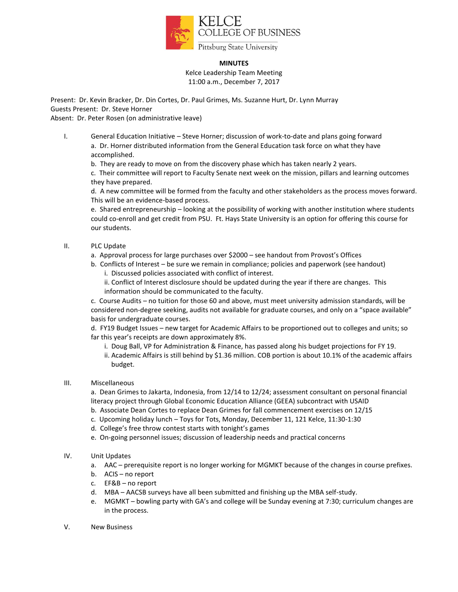

#### **MINUTES**

Kelce Leadership Team Meeting 11:00 a.m., December 7, 2017

Present: Dr. Kevin Bracker, Dr. Din Cortes, Dr. Paul Grimes, Ms. Suzanne Hurt, Dr. Lynn Murray Guests Present: Dr. Steve Horner

Absent: Dr. Peter Rosen (on administrative leave)

I. General Education Initiative – Steve Horner; discussion of work-to-date and plans going forward a. Dr. Horner distributed information from the General Education task force on what they have accomplished.

b. They are ready to move on from the discovery phase which has taken nearly 2 years.

c. Their committee will report to Faculty Senate next week on the mission, pillars and learning outcomes they have prepared.

d. A new committee will be formed from the faculty and other stakeholders as the process moves forward. This will be an evidence-based process.

e. Shared entrepreneurship – looking at the possibility of working with another institution where students could co-enroll and get credit from PSU. Ft. Hays State University is an option for offering this course for our students.

## II. PLC Update

a. Approval process for large purchases over \$2000 – see handout from Provost's Offices

- b. Conflicts of Interest be sure we remain in compliance; policies and paperwork (see handout)
	- i. Discussed policies associated with conflict of interest.
	- ii. Conflict of Interest disclosure should be updated during the year if there are changes. This information should be communicated to the faculty.

c. Course Audits – no tuition for those 60 and above, must meet university admission standards, will be considered non-degree seeking, audits not available for graduate courses, and only on a "space available" basis for undergraduate courses.

d. FY19 Budget Issues – new target for Academic Affairs to be proportioned out to colleges and units; so far this year's receipts are down approximately 8%.

- i. Doug Ball, VP for Administration & Finance, has passed along his budget projections for FY 19.
- ii. Academic Affairs is still behind by \$1.36 million. COB portion is about 10.1% of the academic affairs budget.

## III. Miscellaneous

a. Dean Grimes to Jakarta, Indonesia, from 12/14 to 12/24; assessment consultant on personal financial literacy project through Global Economic Education Alliance (GEEA) subcontract with USAID

- b. Associate Dean Cortes to replace Dean Grimes for fall commencement exercises on 12/15
- c. Upcoming holiday lunch Toys for Tots, Monday, December 11, 121 Kelce, 11:30-1:30
- d. College's free throw contest starts with tonight's games
- e. On-going personnel issues; discussion of leadership needs and practical concerns
- IV. Unit Updates
	- a. AAC prerequisite report is no longer working for MGMKT because of the changes in course prefixes.
	- b. ACIS no report
	- c. EF&B no report
	- d. MBA AACSB surveys have all been submitted and finishing up the MBA self-study.
	- e. MGMKT bowling party with GA's and college will be Sunday evening at 7:30; curriculum changes are in the process.
- V. New Business